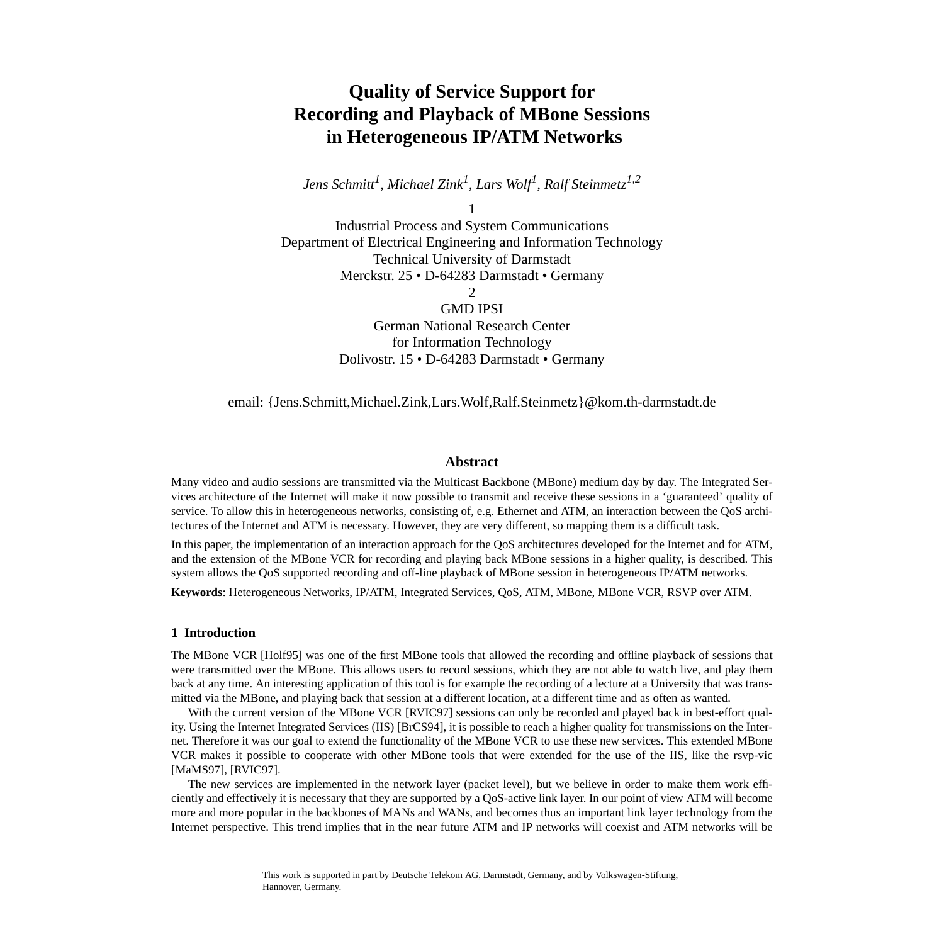# **Quality of Service Support for Recording and Playback of MBone Sessions in Heterogeneous IP/ATM Networks**

*Jens Schmitt1, Michael Zink1, Lars Wolf1 , Ralf Steinmetz1,2*

1

Industrial Process and System Communications Department of Electrical Engineering and Information Technology Technical University of Darmstadt Merckstr. 25 • D-64283 Darmstadt • Germany 2

GMD IPSI German National Research Center for Information Technology Dolivostr. 15 • D-64283 Darmstadt • Germany

email: {Jens.Schmitt,Michael.Zink,Lars.Wolf,Ralf.Steinmetz}@kom.th-darmstadt.de

## **Abstract**

Many video and audio sessions are transmitted via the Multicast Backbone (MBone) medium day by day. The Integrated Services architecture of the Internet will make it now possible to transmit and receive these sessions in a 'guaranteed' quality of service. To allow this in heterogeneous networks, consisting of, e.g. Ethernet and ATM, an interaction between the QoS architectures of the Internet and ATM is necessary. However, they are very different, so mapping them is a difficult task.

In this paper, the implementation of an interaction approach for the QoS architectures developed for the Internet and for ATM, and the extension of the MBone VCR for recording and playing back MBone sessions in a higher quality, is described. This system allows the QoS supported recording and off-line playback of MBone session in heterogeneous IP/ATM networks.

**Keywords**: Heterogeneous Networks, IP/ATM, Integrated Services, QoS, ATM, MBone, MBone VCR, RSVP over ATM.

#### **1 Introduction**

The MBone VCR [\[Holf95\]](#page-9-0) was one of the first MBone tools that allowed the recording and offline playback of sessions that were transmitted over the MBone. This allows users to record sessions, which they are not able to watch live, and play them back at any time. An interesting application of this tool is for example the recording of a lecture at a University that was transmitted via the MBone, and playing back that session at a different location, at a different time and as often as wanted.

With the current version of the MBone VCR [[RVIC97\] s](#page-9-0)essions can only be recorded and played back in best-effort quality. Using the Internet Integrated Services (IIS) [\[BrCS94\]](#page-9-0), it is possible to reach a higher quality for transmissions on the Internet. Therefore it was our goal to extend the functionality of the MBone VCR to use these new services. This extended MBone VCR makes it possible to cooperate with other MBone tools that were extended for the use of the IIS, like the rsvp-vic [\[MaMS97\],](#page-9-0) [\[RVIC97\].](#page-9-0)

The new services are implemented in the network layer (packet level), but we believe in order to make them work efficiently and effectively it is necessary that they are supported by a QoS-active link layer. In our point of view ATM will become more and more popular in the backbones of MANs and WANs, and becomes thus an important link layer technology from the Internet perspective. This trend implies that in the near future ATM and IP networks will coexist and ATM networks will be

This work is supported in part by Deutsche Telekom AG, Darmstadt, Germany, and by Volkswagen-Stiftung, Hannover, Germany.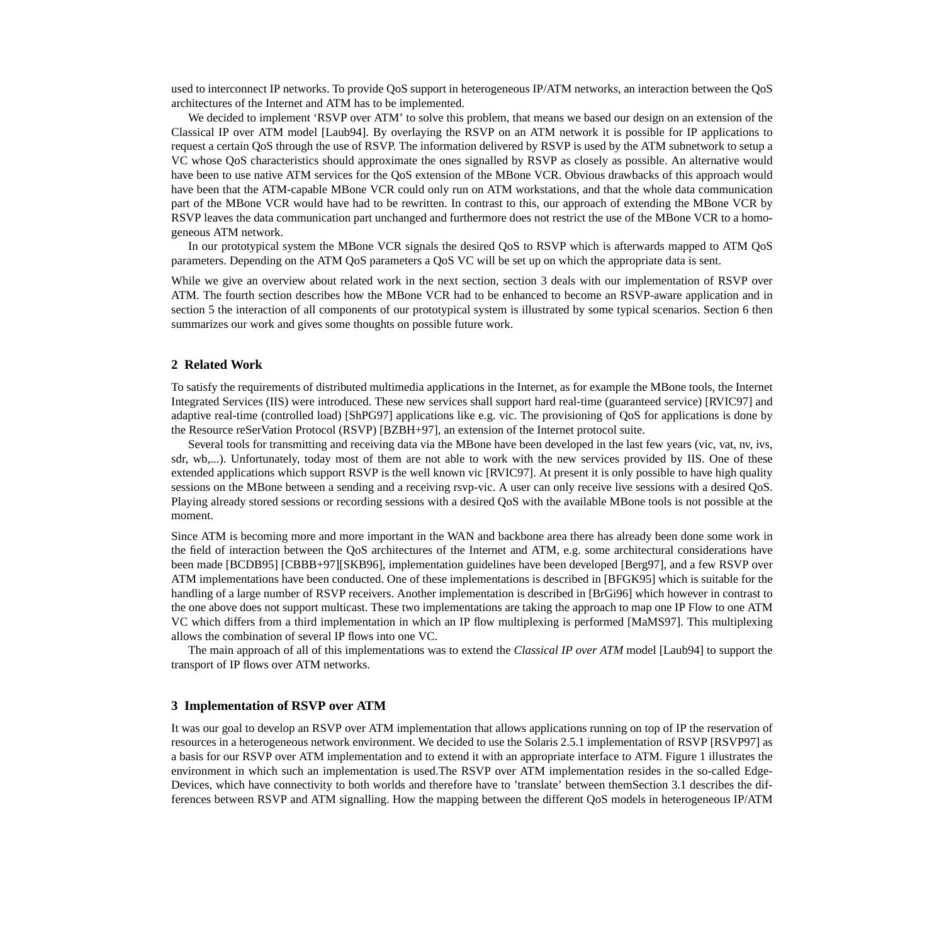used to interconnect IP networks. To provide QoS support in heterogeneous IP/ATM networks, an interaction between the QoS architectures of the Internet and ATM has to be implemented.

We decided to implement 'RSVP over ATM' to solve this problem, that means we based our design on an extension of the Classical IP over ATM model [\[Laub94\]](#page-9-0). By overlaying the RSVP on an ATM network it is possible for IP applications to request a certain QoS through the use of RSVP. The information delivered by RSVP is used by the ATM subnetwork to setup a VC whose QoS characteristics should approximate the ones signalled by RSVP as closely as possible. An alternative would have been to use native ATM services for the QoS extension of the MBone VCR. Obvious drawbacks of this approach would have been that the ATM-capable MBone VCR could only run on ATM workstations, and that the whole data communication part of the MBone VCR would have had to be rewritten. In contrast to this, our approach of extending the MBone VCR by RSVP leaves the data communication part unchanged and furthermore does not restrict the use of the MBone VCR to a homogeneous ATM network.

In our prototypical system the MBone VCR signals the desired QoS to RSVP which is afterwards mapped to ATM QoS parameters. Depending on the ATM QoS parameters a QoS VC will be set up on which the appropriate data is sent.

While we give an overview about related work in the next section, section 3 deals with our implementation of RSVP over ATM. The fourth section describes how the MBone VCR had to be enhanced to become an RSVP-aware application and in section 5 the interaction of all components of our prototypical system is illustrated by some typical scenarios. Section 6 then summarizes our work and gives some thoughts on possible future work.

#### **2 Related Work**

To satisfy the requirements of distributed multimedia applications in the Internet, as for example the MBone tools, the Internet Integrated Services (IIS) were introduced. These new services shall support hard real-time (guaranteed service) [\[RVIC97\]](#page-9-0) and adaptive real-time (controlled load) [[ShPG97\] a](#page-9-0)pplications like e.g. vic. The provisioning of QoS for applications is done by the Resource reSerVation Protocol (RSVP) [B[ZBH+97\], an](#page-9-0) extension of the Internet protocol suite.

Several tools for transmitting and receiving data via the MBone have been developed in the last few years (vic, vat, nv, ivs, sdr, wb,...). Unfortunately, today most of them are not able to work with the new services provided by IIS. One of these extended applications which support RSVP is the well known vic [\[RVIC97\]](#page-9-0). At present it is only possible to have high quality sessions on the MBone between a sending and a receiving rsvp-vic. A user can only receive live sessions with a desired QoS. Playing already stored sessions or recording sessions with a desired QoS with the available MBone tools is not possible at the moment.

Since ATM is becoming more and more important in the WAN and backbone area there has already been done some work in the field of interaction between the QoS architectures of the Internet and ATM, e.g. some architectural considerations have been made [\[BCDB95\] \[CBBB+97\]\[SKB96](#page-9-0)], implementation guidelines have been developed [\[Berg97\]](#page-9-0), and a few RSVP over ATM implementations have been conducted. One of these implementations is described in [\[BFGK95\]](#page-9-0) which is suitable for the handling of a large number of RSVP receivers. Another implementation is described in [\[BrGi96\]](#page-9-0) which however in contrast to the one above does not support multicast. These two implementations are taking the approach to map one IP Flow to one ATM VC which differs from a third implementation in which an IP flow multiplexing is performed [\[MaMS97\]](#page-9-0). This multiplexing allows the combination of several IP flows into one VC.

The main approach of all of this implementations was to extend the *Classical IP over ATM* model [\[Laub94\]](#page-9-0) to support the transport of IP flows over ATM networks.

#### **3 Implementation of RSVP over ATM**

It was our goal to develop an RSVP over ATM implementation that allows applications running on top of IP the reservation of resources in a heterogeneous network environment. We decided to use the Solaris 2.5.1 implementation of RSVP [\[RSVP97\]](#page-9-0) as a basis for our RSVP over ATM implementation and to extend it with an appropriate interface to ATM. [Figure 1](#page-2-0) illustrates the environment in which such an implementation is used.The RSVP over ATM implementation resides in the so-called Edge-Devices, which have connectivity to both worlds and therefore have to 'translate' between themSection 3.1 describes the differences between RSVP and ATM signalling. How the mapping between the different QoS models in heterogeneous IP/ATM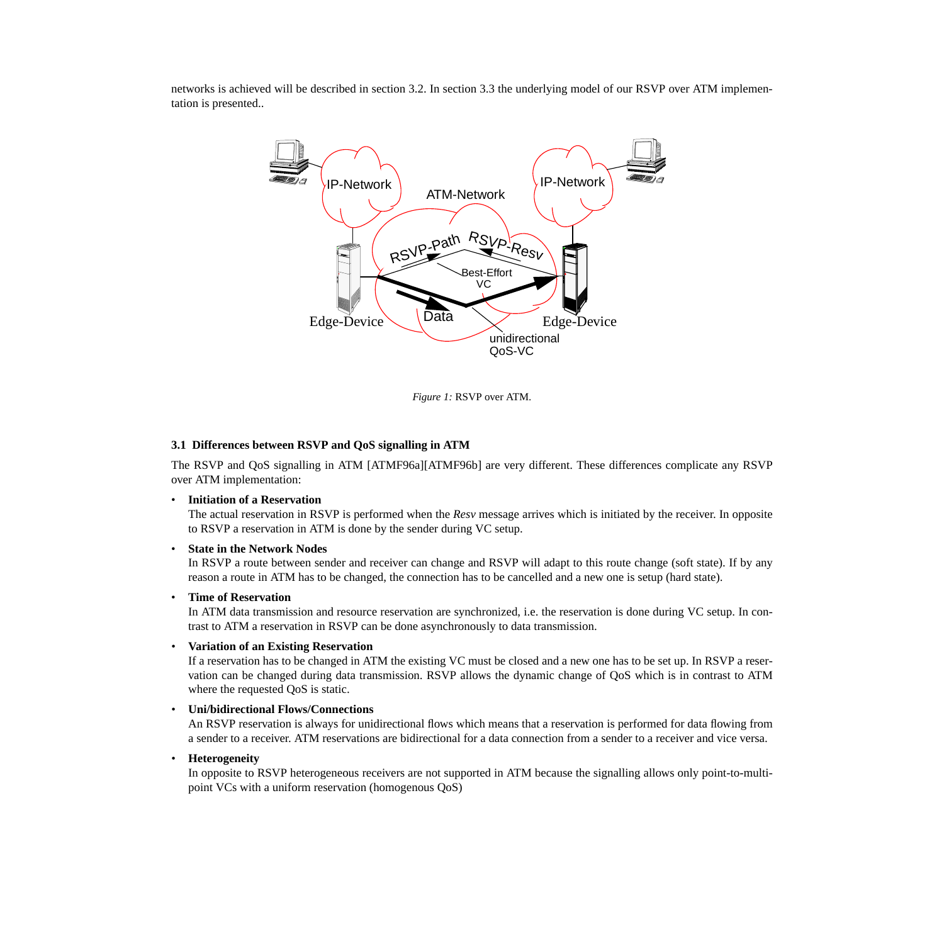<span id="page-2-0"></span>networks is achieved will be described in section 3.2. In section 3.3 the underlying model of our RSVP over ATM implementation is presented..



*Figure 1:* RSVP over ATM.

# **3.1 Differences between RSVP and QoS signalling in ATM**

The RSVP and QoS signalling in ATM [\[ATMF96a\]\[ATMF96b\] a](#page-9-0)re very different. These differences complicate any RSVP over ATM implementation:

• **Initiation of a Reservation**

The actual reservation in RSVP is performed when the *Resv* message arrives which is initiated by the receiver. In opposite to RSVP a reservation in ATM is done by the sender during VC setup.

• **State in the Network Nodes**

In RSVP a route between sender and receiver can change and RSVP will adapt to this route change (soft state). If by any reason a route in ATM has to be changed, the connection has to be cancelled and a new one is setup (hard state).

## • **Time of Reservation**

In ATM data transmission and resource reservation are synchronized, i.e. the reservation is done during VC setup. In contrast to ATM a reservation in RSVP can be done asynchronously to data transmission.

#### • **Variation of an Existing Reservation**

If a reservation has to be changed in ATM the existing VC must be closed and a new one has to be set up. In RSVP a reservation can be changed during data transmission. RSVP allows the dynamic change of QoS which is in contrast to ATM where the requested QoS is static.

## • **Uni/bidirectional Flows/Connections**

An RSVP reservation is always for unidirectional flows which means that a reservation is performed for data flowing from a sender to a receiver. ATM reservations are bidirectional for a data connection from a sender to a receiver and vice versa.

• **Heterogeneity**

In opposite to RSVP heterogeneous receivers are not supported in ATM because the signalling allows only point-to-multipoint VCs with a uniform reservation (homogenous QoS)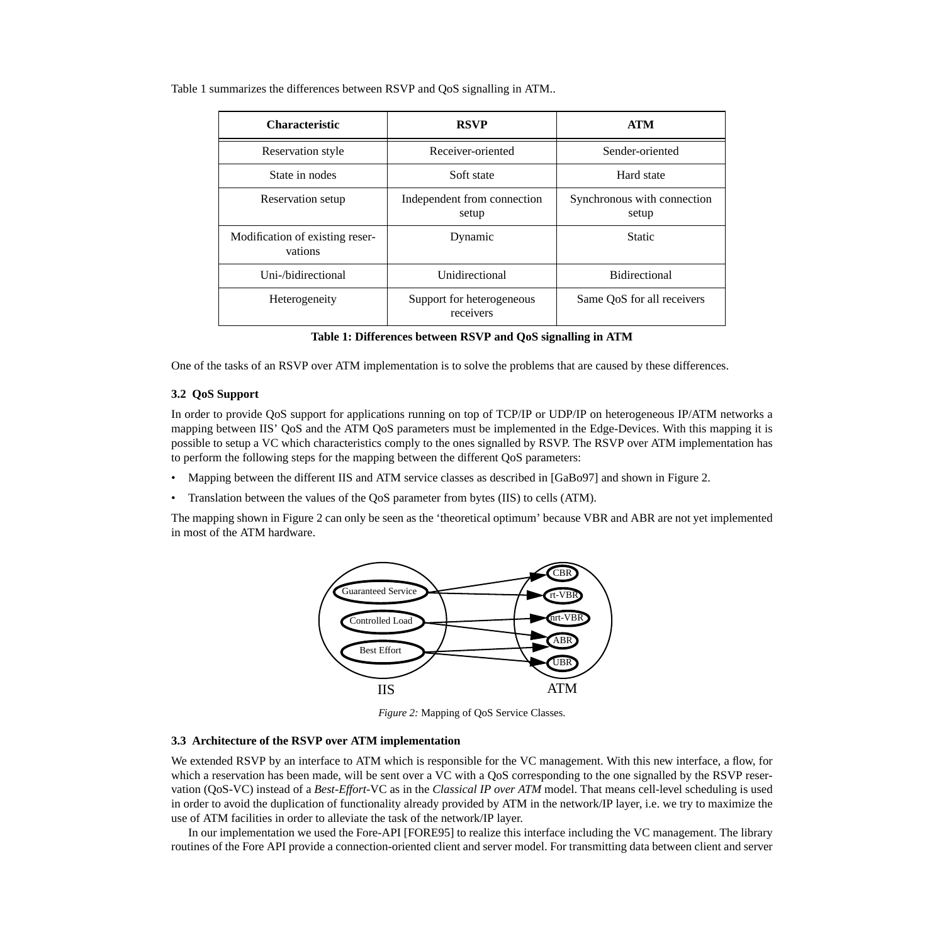<span id="page-3-0"></span>Table 1 summarizes the differences between RSVP and QoS signalling in ATM..

| <b>Characteristic</b>                      | <b>RSVP</b>                            | <b>ATM</b>                           |  |
|--------------------------------------------|----------------------------------------|--------------------------------------|--|
| Reservation style                          | Receiver-oriented                      | Sender-oriented                      |  |
| State in nodes                             | Soft state                             | Hard state                           |  |
| Reservation setup                          | Independent from connection<br>setup   | Synchronous with connection<br>setup |  |
| Modification of existing reser-<br>vations | Dynamic                                | <b>Static</b>                        |  |
| Uni-/bidirectional                         | Unidirectional                         | <b>Bidirectional</b>                 |  |
| Heterogeneity                              | Support for heterogeneous<br>receivers | Same OoS for all receivers           |  |

**Table 1: Differences between RSVP and QoS signalling in ATM**

One of the tasks of an RSVP over ATM implementation is to solve the problems that are caused by these differences.

## **3.2 QoS Support**

In order to provide QoS support for applications running on top of TCP/IP or UDP/IP on heterogeneous IP/ATM networks a mapping between IIS' QoS and the ATM QoS parameters must be implemented in the Edge-Devices. With this mapping it is possible to setup a VC which characteristics comply to the ones signalled by RSVP. The RSVP over ATM implementation has to perform the following steps for the mapping between the different QoS parameters:

- Mapping between the different IIS and ATM service classes as described in [G[aBo97\] and](#page-9-0) shown in Figure 2.
- Translation between the values of the QoS parameter from bytes (IIS) to cells (ATM).

The mapping shown in Figure 2 can only be seen as the 'theoretical optimum' because VBR and ABR are not yet implemented in most of the ATM hardware.



*Figure 2:* Mapping of QoS Service Classes.

## **3.3 Architecture of the RSVP over ATM implementation**

We extended RSVP by an interface to ATM which is responsible for the VC management. With this new interface, a flow, for which a reservation has been made, will be sent over a VC with a QoS corresponding to the one signalled by the RSVP reservation (QoS-VC) instead of a *Best-Effort-*VC as in the *Classical IP over ATM* model. That means cell-level scheduling is used in order to avoid the duplication of functionality already provided by ATM in the network/IP layer, i.e. we try to maximize the use of ATM facilities in order to alleviate the task of the network/IP layer.

In our implementation we used the Fore-API [\[FORE95\]](#page-9-0) to realize this interface including the VC management. The library routines of the Fore API provide a connection-oriented client and server model. For transmitting data between client and server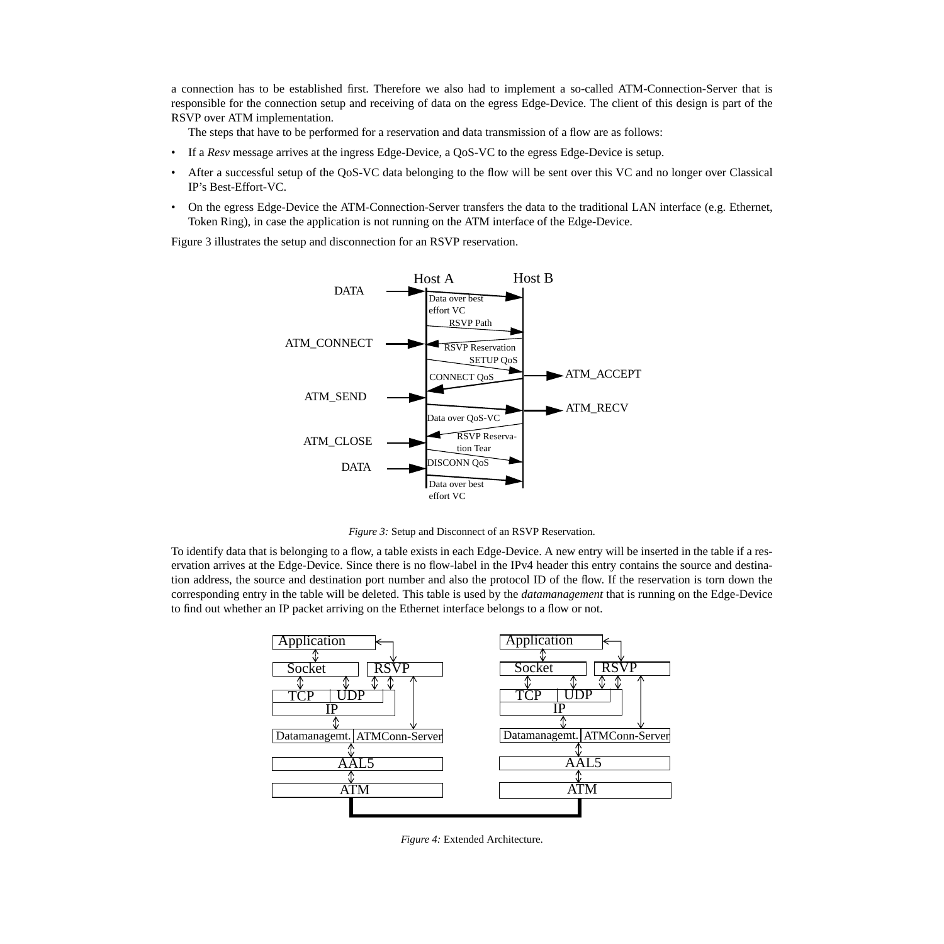<span id="page-4-0"></span>a connection has to be established first. Therefore we also had to implement a so-called ATM-Connection-Server that is responsible for the connection setup and receiving of data on the egress Edge-Device. The client of this design is part of the RSVP over ATM implementation.

The steps that have to be performed for a reservation and data transmission of a flow are as follows:

- If a *Resv* message arrives at the ingress Edge-Device, a QoS-VC to the egress Edge-Device is setup.
- After a successful setup of the QoS-VC data belonging to the flow will be sent over this VC and no longer over Classical IP's Best-Effort-VC.
- On the egress Edge-Device the ATM-Connection-Server transfers the data to the traditional LAN interface (e.g. Ethernet, Token Ring), in case the application is not running on the ATM interface of the Edge-Device.

Figure 3 illustrates the setup and disconnection for an RSVP reservation.



*Figure 3:* Setup and Disconnect of an RSVP Reservation.

To identify data that is belonging to a flow, a table exists in each Edge-Device. A new entry will be inserted in the table if a reservation arrives at the Edge-Device. Since there is no flow-label in the IPv4 header this entry contains the source and destination address, the source and destination port number and also the protocol ID of the flow. If the reservation is torn down the corresponding entry in the table will be deleted. This table is used by the *datamanagement* that is running on the Edge-Device to find out whether an IP packet arriving on the Ethernet interface belongs to a flow or not.



*Figure 4:* Extended Architecture.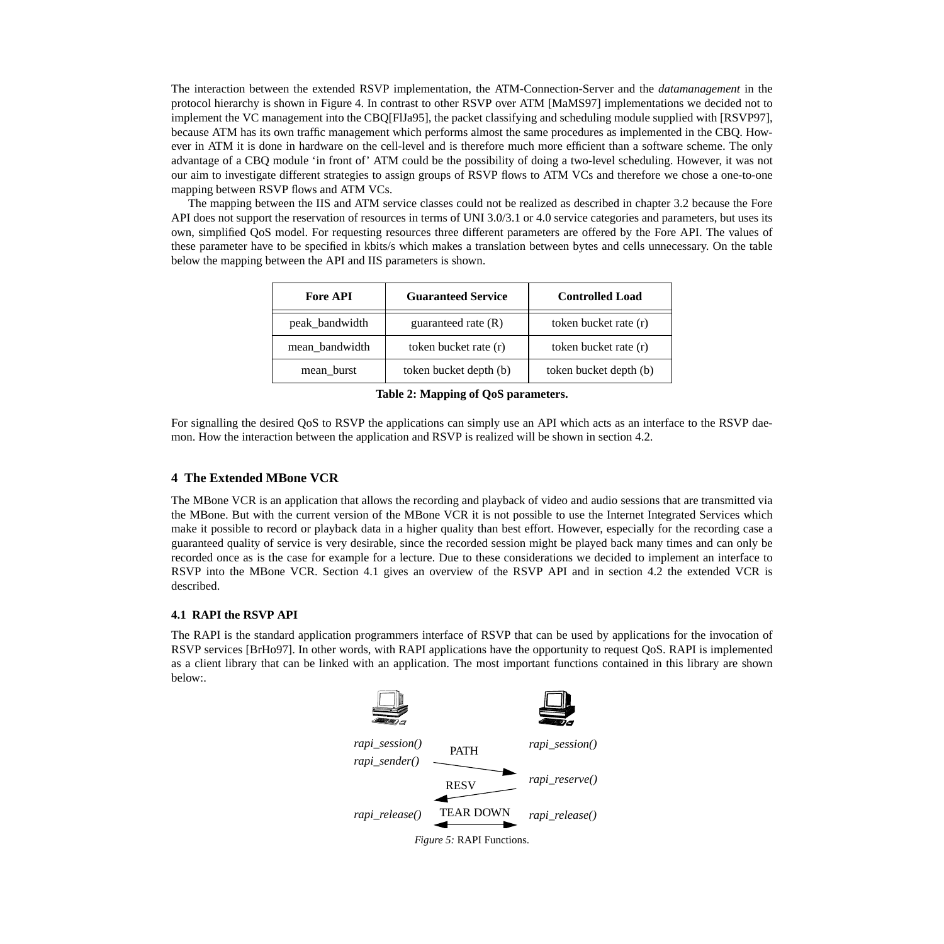<span id="page-5-0"></span>The interaction between the extended RSVP implementation, the ATM-Connection-Server and the *datamanagement* in the protocol hierarchy is shown in [Figure 4](#page-4-0). In contrast to other RSVP over ATM [\[MaMS97\]](#page-9-0) implementations we decided not to implement the VC management into the CBQ[\[FlJa95\],](#page-9-0) the packet classifying and scheduling module supplied with [\[RSVP97\]](#page-9-0), because ATM has its own traffic management which performs almost the same procedures as implemented in the CBQ. However in ATM it is done in hardware on the cell-level and is therefore much more efficient than a software scheme. The only advantage of a CBQ module 'in front of' ATM could be the possibility of doing a two-level scheduling. However, it was not our aim to investigate different strategies to assign groups of RSVP flows to ATM VCs and therefore we chose a one-to-one mapping between RSVP flows and ATM VCs.

The mapping between the IIS and ATM service classes could not be realized as described in [chapter 3.2](#page-3-0) because the Fore API does not support the reservation of resources in terms of UNI 3.0/3.1 or 4.0 service categories and parameters, but uses its own, simplified QoS model. For requesting resources three different parameters are offered by the Fore API. The values of these parameter have to be specified in kbits/s which makes a translation between bytes and cells unnecessary. On the table below the mapping between the API and IIS parameters is shown.

| <b>Fore API</b> | <b>Guaranteed Service</b> | <b>Controlled Load</b> |
|-----------------|---------------------------|------------------------|
| peak_bandwidth  | guaranteed rate $(R)$     | token bucket rate (r)  |
| mean bandwidth  | token bucket rate (r)     | token bucket rate (r)  |
| mean burst      | token bucket depth (b)    | token bucket depth (b) |

**Table 2: Mapping of QoS parameters.**

For signalling the desired QoS to RSVP the applications can simply use an API which acts as an interface to the RSVP daemon. How the interaction between the application and RSVP is realized will be shown in secti[on 4.2.](#page-6-0)

# **4 The Extended MBone VCR**

The MBone VCR is an application that allows the recording and playback of video and audio sessions that are transmitted via the MBone. But with the current version of the MBone VCR it is not possible to use the Internet Integrated Services which make it possible to record or playback data in a higher quality than best effort. However, especially for the recording case a guaranteed quality of service is very desirable, since the recorded session might be played back many times and can only be recorded once as is the case for example for a lecture. Due to these considerations we decided to implement an interface to RSVP into the MBone VCR. Section 4.1 gives an overview of the RSVP API and in [section 4.2](#page-6-0) the extended VCR is described.

## **4.1 RAPI the RSVP API**

The RAPI is the standard application programmers interface of RSVP that can be used by applications for the invocation of RSVP services [\[BrHo97\]](#page-9-0). In other words, with RAPI applications have the opportunity to request QoS. RAPI is implemented as a client library that can be linked with an application. The most important functions contained in this library are shown below:.

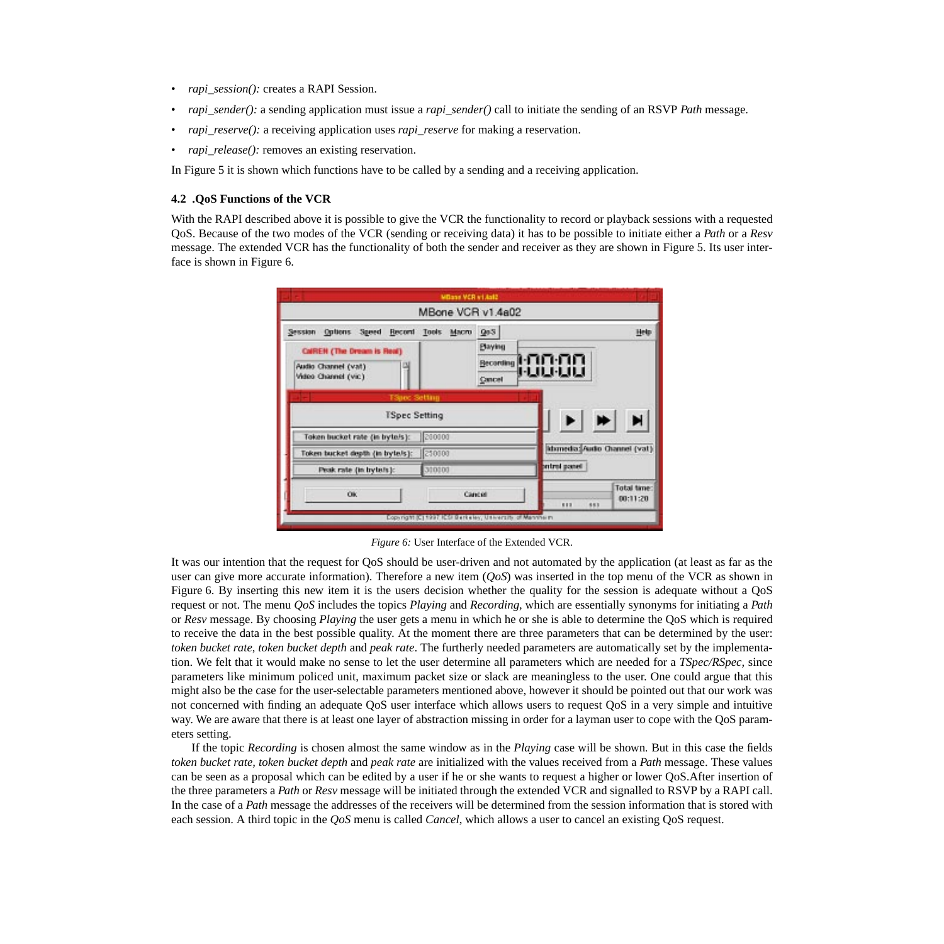- <span id="page-6-0"></span>• *rapi\_session():* creates a RAPI Session.
- *rapi\_sender():* a sending application must issue a *rapi\_sender()* call to initiate the sending of an RSVP *Path* message.
- *rapi\_reserve():* a receiving application uses *rapi\_reserve* for making a reservation.
- *rapi\_release():* removes an existing reservation.

In [Figure 5 i](#page-5-0)t is shown which functions have to be called by a sending and a receiving application.

#### **4.2 .QoS Functions of the VCR**

With the RAPI described above it is possible to give the VCR the functionality to record or playback sessions with a requested QoS. Because of the two modes of the VCR (sending or receiving data) it has to be possible to initiate either a *Path* or a *Resv* message. The extended VCR has the functionality of both the sender and receiver as they are shown i[n Figure 5](#page-5-0). Its user interface is shown in Figure 6.

|                                                                           | Million VCR v1.4a12 |                                                         |
|---------------------------------------------------------------------------|---------------------|---------------------------------------------------------|
|                                                                           | MBone VCR v1.4a02   |                                                         |
| Speed Record<br>Options<br><b>Session</b>                                 | Macro<br>Tools      | $Q_0 - 3$<br><b>Help</b>                                |
| CalREN (The Dream is Real)<br>Audio Channel (val.)<br>Video Channel (vic) |                     | <b>Baying</b><br><b>Becoming 1:00:00</b><br>Cancel      |
| <b>TSpec Setting</b><br><b>TSpec Setting</b>                              |                     |                                                         |
| Token bucket rate (in bytels):<br>Token bucket depth (in byte/s):         | 200000<br>250000    | khmedia: Audio Channel (vat)                            |
| Peak rate (in bytals):                                                    | 300000              | entrod pomet                                            |
| OK.                                                                       |                     | <b>Total time:</b><br>Cancel<br>00:11:20<br>813<br>663  |
|                                                                           |                     | Copyright (C) 1997 ICSI Berkeley, University of Manmein |

*Figure 6:* User Interface of the Extended VCR.

It was our intention that the request for QoS should be user-driven and not automated by the application (at least as far as the user can give more accurate information). Therefore a new item (*QoS*) was inserted in the top menu of the VCR as shown in Figure 6. By inserting this new item it is the users decision whether the quality for the session is adequate without a QoS request or not. The menu *QoS* includes the topics *Playing* and *Recording,* which are essentially synonyms for initiating a *Path* or *Resv* message. By choosing *Playing* the user gets a menu in which he or she is able to determine the QoS which is required to receive the data in the best possible quality. At the moment there are three parameters that can be determined by the user: *token bucket rate, token bucket depth* and *peak rate*. The furtherly needed parameters are automatically set by the implementation. We felt that it would make no sense to let the user determine all parameters which are needed for a *TSpec/RSpec,* since parameters like minimum policed unit, maximum packet size or slack are meaningless to the user. One could argue that this might also be the case for the user-selectable parameters mentioned above, however it should be pointed out that our work was not concerned with finding an adequate QoS user interface which allows users to request QoS in a very simple and intuitive way. We are aware that there is at least one layer of abstraction missing in order for a layman user to cope with the QoS parameters setting.

If the topic *Recording* is chosen almost the same window as in the *Playing* case will be shown*.* But in this case the fields *token bucket rate, token bucket depth* and *peak rate* are initialized with the values received from a *Path* message. These values can be seen as a proposal which can be edited by a user if he or she wants to request a higher or lower QoS.After insertion of the three parameters a *Path* or *Resv* message will be initiated through the extended VCR and signalled to RSVP by a RAPI call. In the case of a *Path* message the addresses of the receivers will be determined from the session information that is stored with each session. A third topic in the *QoS* menu is called *Cancel*, which allows a user to cancel an existing QoS request.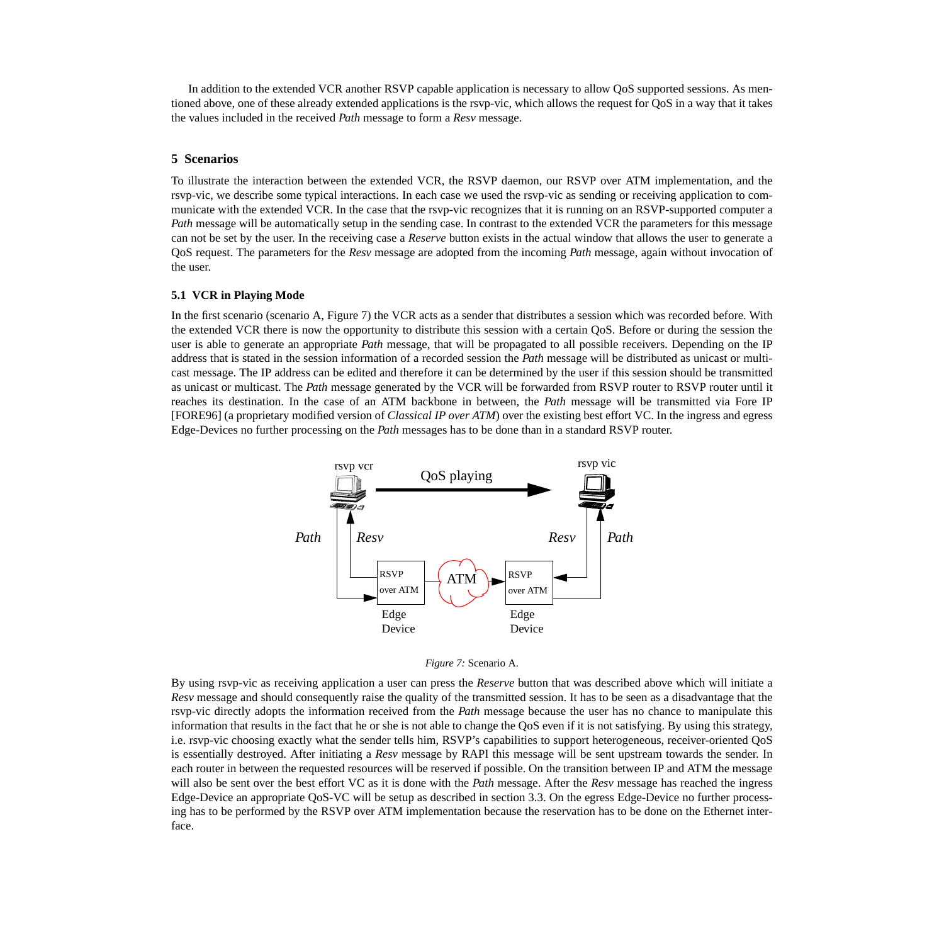In addition to the extended VCR another RSVP capable application is necessary to allow QoS supported sessions. As mentioned above, one of these already extended applications is the rsvp-vic, which allows the request for QoS in a way that it takes the values included in the received *Path* message to form a *Resv* message.

## **5 Scenarios**

To illustrate the interaction between the extended VCR, the RSVP daemon, our RSVP over ATM implementation, and the rsvp-vic, we describe some typical interactions. In each case we used the rsvp-vic as sending or receiving application to communicate with the extended VCR. In the case that the rsvp-vic recognizes that it is running on an RSVP-supported computer a *Path* message will be automatically setup in the sending case. In contrast to the extended VCR the parameters for this message can not be set by the user. In the receiving case a *Reserve* button exists in the actual window that allows the user to generate a QoS request. The parameters for the *Resv* message are adopted from the incoming *Path* message, again without invocation of the user.

#### **5.1 VCR in Playing Mode**

In the first scenario (scenario A, Figure 7) the VCR acts as a sender that distributes a session which was recorded before. With the extended VCR there is now the opportunity to distribute this session with a certain QoS. Before or during the session the user is able to generate an appropriate *Path* message, that will be propagated to all possible receivers. Depending on the IP address that is stated in the session information of a recorded session the *Path* message will be distributed as unicast or multicast message. The IP address can be edited and therefore it can be determined by the user if this session should be transmitted as unicast or multicast. The *Path* message generated by the VCR will be forwarded from RSVP router to RSVP router until it reaches its destination. In the case of an ATM backbone in between, the *Path* message will be transmitted via Fore IP [\[FORE96\]](#page-9-0) (a proprietary modified version of *Classical IP over ATM*) over the existing best effort VC. In the ingress and egress Edge-Devices no further processing on the *Path* messages has to be done than in a standard RSVP router.



*Figure 7:* Scenario A.

By using rsvp-vic as receiving application a user can press the *Reserve* button that was described above which will initiate a *Resv* message and should consequently raise the quality of the transmitted session. It has to be seen as a disadvantage that the rsvp-vic directly adopts the information received from the *Path* message because the user has no chance to manipulate this information that results in the fact that he or she is not able to change the QoS even if it is not satisfying. By using this strategy, i.e. rsvp-vic choosing exactly what the sender tells him, RSVP's capabilities to support heterogeneous, receiver-oriented QoS is essentially destroyed. After initiating a *Resv* message by RAPI this message will be sent upstream towards the sender. In each router in between the requested resources will be reserved if possible. On the transition between IP and ATM the message will also be sent over the best effort VC as it is done with the *Path* message. After the *Resv* message has reached the ingress Edge-Device an appropriate QoS-VC will be setup as described in [section 3.3.](#page-3-0) On the egress Edge-Device no further processing has to be performed by the RSVP over ATM implementation because the reservation has to be done on the Ethernet interface.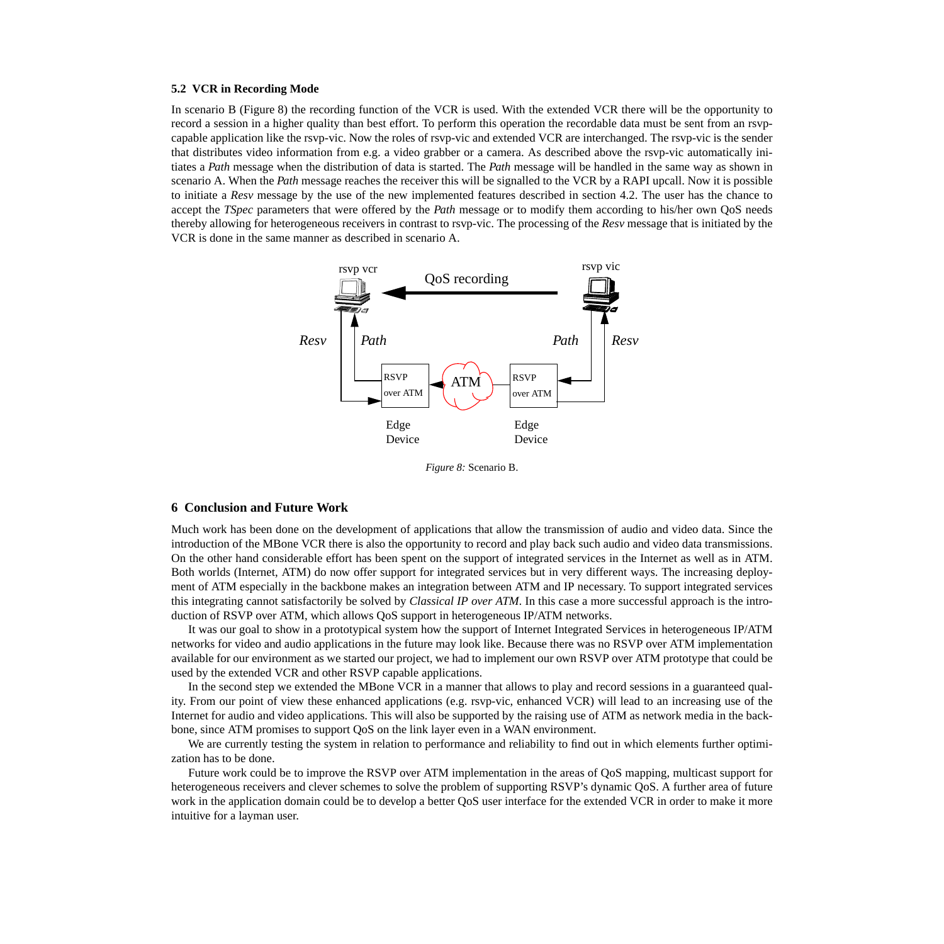#### **5.2 VCR in Recording Mode**

In scenario B (Figure 8) the recording function of the VCR is used. With the extended VCR there will be the opportunity to record a session in a higher quality than best effort. To perform this operation the recordable data must be sent from an rsvpcapable application like the rsvp-vic. Now the roles of rsvp-vic and extended VCR are interchanged. The rsvp-vic is the sender that distributes video information from e.g. a video grabber or a camera. As described above the rsvp-vic automatically initiates a *Path* message when the distribution of data is started. The *Path* message will be handled in the same way as shown in scenario A. When the *Path* message reaches the receiver this will be signalled to the VCR by a RAPI upcall. Now it is possible to initiate a *Resv* message by the use of the new implemented features described in [section 4.2.](#page-6-0) The user has the chance to accept the *TSpec* parameters that were offered by the *Path* message or to modify them according to his/her own QoS needs thereby allowing for heterogeneous receivers in contrast to rsvp-vic. The processing of the *Resv* message that is initiated by the VCR is done in the same manner as described in scenario A.



*Figure 8:* Scenario B.

#### **6 Conclusion and Future Work**

Much work has been done on the development of applications that allow the transmission of audio and video data. Since the introduction of the MBone VCR there is also the opportunity to record and play back such audio and video data transmissions. On the other hand considerable effort has been spent on the support of integrated services in the Internet as well as in ATM. Both worlds (Internet, ATM) do now offer support for integrated services but in very different ways. The increasing deployment of ATM especially in the backbone makes an integration between ATM and IP necessary. To support integrated services this integrating cannot satisfactorily be solved by *Classical IP over ATM*. In this case a more successful approach is the introduction of RSVP over ATM, which allows QoS support in heterogeneous IP/ATM networks.

It was our goal to show in a prototypical system how the support of Internet Integrated Services in heterogeneous IP/ATM networks for video and audio applications in the future may look like. Because there was no RSVP over ATM implementation available for our environment as we started our project, we had to implement our own RSVP over ATM prototype that could be used by the extended VCR and other RSVP capable applications.

In the second step we extended the MBone VCR in a manner that allows to play and record sessions in a guaranteed quality. From our point of view these enhanced applications (e.g. rsvp-vic, enhanced VCR) will lead to an increasing use of the Internet for audio and video applications. This will also be supported by the raising use of ATM as network media in the backbone, since ATM promises to support QoS on the link layer even in a WAN environment.

We are currently testing the system in relation to performance and reliability to find out in which elements further optimization has to be done.

Future work could be to improve the RSVP over ATM implementation in the areas of QoS mapping, multicast support for heterogeneous receivers and clever schemes to solve the problem of supporting RSVP's dynamic QoS. A further area of future work in the application domain could be to develop a better QoS user interface for the extended VCR in order to make it more intuitive for a layman user.